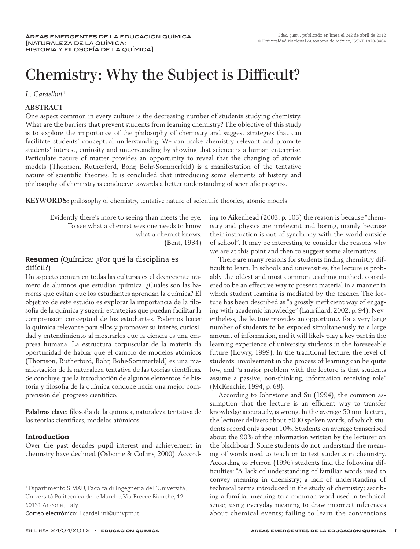# Chemistry: Why the Subject is Difficult?

*L. Cardellini* <sup>1</sup>

#### **ABSTRACT**

One aspect common in every culture is the decreasing number of students studying chemistry. What are the barriers that prevent students from learning chemistry? The objective of this study is to explore the importance of the philosophy of chemistry and suggest strategies that can facilitate students' conceptual understanding. We can make chemistry relevant and promote students' interest, curiosity and understanding by showing that science is a human enterprise. Particulate nature of matter provides an opportunity to reveal that the changing of atomic models (Thomson, Rutherford, Bohr, Bohr-Sommerfeld) is a manifestation of the tentative nature of scientific theories. It is concluded that introducing some elements of history and philosophy of chemistry is conducive towards a better understanding of scientific progress.

**KEYWORDS:** philosophy of chemistry, tentative nature of scientific theories, atomic models

Evidently there's more to seeing than meets the eye. To see what a chemist sees one needs to know what a chemist knows. (Bent, 1984)

## Resumen (Química: ¿Por qué la disciplina es difícil?)

Un aspecto común en todas las culturas es el decreciente número de alumnos que estudian química. ¿Cuáles son las barreras que evitan que los estudiantes aprendan la química? El objetivo de este estudio es explorar la importancia de la filosofía de la química y sugerir estrategias que puedan facilitar la comprensión conceptual de los estudiantes. Podemos hacer la química relevante para ellos y promover su interés, curiosidad y entendimiento al mostrarles que la ciencia es una empresa humana. La estructura corpuscular de la materia da oportunidad de hablar que el cambio de modelos atómicos (Thomson, Rutherford, Bohr, Bohr-Sommerfeld) es una manifestación de la naturaleza tentativa de las teorías científicas. Se concluye que la introducción de algunos elementos de historia y filosofía de la química conduce hacia una mejor comprensión del progreso científico.

**Palabras clave:** filosofía de la química, naturaleza tentativa de las teorías científicas, modelos atómicos

## Introduction

Over the past decades pupil interest and achievement in chemistry have declined (Osborne & Collins, 2000). Accord-

ing to Aikenhead (2003, p. 103) the reason is because "chemistry and physics are irrelevant and boring, mainly because their instruction is out of synchrony with the world outside of school". It may be interesting to consider the reasons why we are at this point and then to suggest some alternatives.

There are many reasons for students finding chemistry difficult to learn. In schools and universities, the lecture is probably the oldest and most common teaching method, considered to be an effective way to present material in a manner in which student learning is mediated by the teacher. The lecture has been described as "a grossly inefficient way of engaging with academic knowledge" (Laurillard, 2002, p. 94). Nevertheless, the lecture provides an opportunity for a very large number of students to be exposed simultaneously to a large amount of information, and it will likely play a key part in the learning experience of university students in the foreseeable future (Lowry, 1999). In the traditional lecture, the level of students' involvement in the process of learning can be quite low, and "a major problem with the lecture is that students assume a passive, non-thinking, information receiving role" (McKeachie, 1994, p. 68).

According to Johnstone and Su (1994), the common assumption that the lecture is an efficient way to transfer knowledge accurately, is wrong. In the average 50 min lecture, the lecturer delivers about 5000 spoken words, of which students record only about 10%. Students on average transcribed about the 90% of the information written by the lecturer on the blackboard. Some students do not understand the meaning of words used to teach or to test students in chemistry. According to Herron (1996) students find the following difficulties: "A lack of understanding of familiar words used to convey meaning in chemistry; a lack of understanding of technical terms introduced in the study of chemistry; ascribing a familiar meaning to a common word used in technical sense; using everyday meaning to draw incorrect inferences about chemical events; failing to learn the conventions

<sup>1</sup> Dipartimento SIMAU, Facoltà di Ingegneria dell'Università, Università Politecnica delle Marche, Via Brecce Bianche, 12 - 60131 Ancona, Italy.

**Correo electrónico:** l.cardellini@univpm.it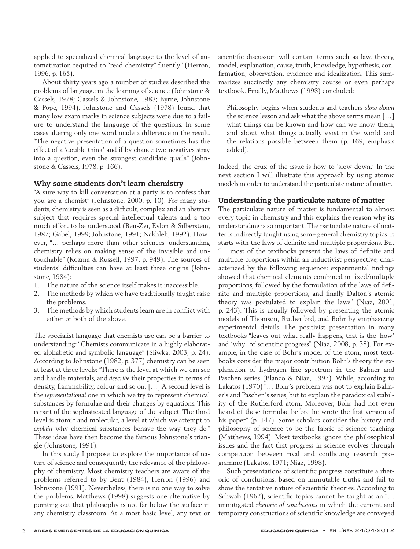applied to specialized chemical language to the level of automatization required to "read chemistry" fluently" (Herron, 1996, p. 165).

About thirty years ago a number of studies described the problems of language in the learning of science (Johnstone & Cassels, 1978; Cassels & Johnstone, 1983; Byrne, Johnstone & Pope, 1994). Johnstone and Cassels (1978) found that many low exam marks in science subjects were due to a failure to understand the language of the questions. In some cases altering only one word made a difference in the result. "The negative presentation of a question sometimes has the effect of a 'double think' and if by chance two negatives stray into a question, even the strongest candidate quails" (Johnstone & Cassels, 1978, p. 166).

#### Why some students don't learn chemistry

"A sure way to kill conversation at a party is to confess that you are a chemist" (Johnstone, 2000, p. 10). For many students, chemistry is seen as a difficult, complex and an abstract subject that requires special intellectual talents and a too much effort to be understood (Ben-Zvi, Eylon & Silberstein, 1987; Gabel, 1999; Johnstone, 1991; Nakhleh, 1992). However, "… perhaps more than other sciences, understanding chemistry relies on making sense of the invisible and untouchable" (Kozma & Russell, 1997, p. 949). The sources of students' difficulties can have at least three origins (Johnstone, 1984):

- 1. The nature of the science itself makes it inaccessible.
- 2. The methods by which we have traditionally taught raise the problems.
- 3. The methods by which students learn are in conflict with either or both of the above.

The specialist language that chemists use can be a barrier to understanding: "Chemists communicate in a highly elaborated alphabetic and symbolic language" (Sliwka, 2003, p. 24). According to Johnstone (1982, p. 377) chemistry can be seen at least at three levels: "There is the level at which we can see and handle materials, and *describe* their properties in terms of density, flammability, colour and so on. […] A second level is the *representational* one in which we try to represent chemical substances by formulae and their changes by equations. This is part of the sophisticated language of the subject. The third level is atomic and molecular, a level at which we attempt to *explain* why chemical substances behave the way they do." These ideas have then become the famous Johnstone's triangle (Johnstone, 1991).

In this study I propose to explore the importance of nature of science and consequently the relevance of the philosophy of chemistry. Most chemistry teachers are aware of the problems referred to by Bent (1984), Herron (1996) and Johnstone (1991). Nevertheless, there is no one way to solve the problems. Matthews (1998) suggests one alternative by pointing out that philosophy is not far below the surface in any chemistry classroom. At a most basic level, any text or scientific discussion will contain terms such as law, theory, model, explanation, cause, truth, knowledge, hypothesis, confirmation, observation, evidence and idealization. This summarizes succinctly any chemistry course or even perhaps textbook. Finally, Matthews (1998) concluded:

Philosophy begins when students and teachers *slow down* the science lesson and ask what the above terms mean […] what things can be known and how can we know them, and about what things actually exist in the world and the relations possible between them (p. 169, emphasis added).

Indeed, the crux of the issue is how to 'slow down.' In the next section I will illustrate this approach by using atomic models in order to understand the particulate nature of matter.

## Understanding the particulate nature of matter

The particulate nature of matter is fundamental to almost every topic in chemistry and this explains the reason why its understanding is so important. The particulate nature of matter is indirectly taught using some general chemistry topics: it starts with the laws of definite and multiple proportions. But "… most of the textbooks present the laws of definite and multiple proportions within an inductivist perspective, characterized by the following sequence: experimental findings showed that chemical elements combined in fixed/multiple proportions, followed by the formulation of the laws of definite and multiple proportions, and finally Dalton's atomic theory was postulated to explain the laws" (Niaz, 2001, p. 243). This is usually followed by presenting the atomic models of Thomson, Rutherford, and Bohr by emphasizing experimental details. The positivist presentation in many textbooks "leaves out what really happens, that is the 'how' and 'why' of scientific progress" (Niaz, 2008, p. 38). For example, in the case of Bohr's model of the atom, most textbooks consider the major contribution Bohr's theory the explanation of hydrogen line spectrum in the Balmer and Paschen series (Blanco & Niaz, 1997). While, according to Lakatos (1970) "… Bohr's problem was not to explain Balmer's and Paschen's series, but to explain the paradoxical stability of the Rutherford atom. Moreover, Bohr had not even heard of these formulae before he wrote the first version of his paper" (p. 147). Some scholars consider the history and philosophy of science to be the fabric of science teaching (Matthews, 1994). Most textbooks ignore the philosophical issues and the fact that progress in science evolves through competition between rival and conflicting research programme (Lakatos, 1971; Niaz, 1998).

Such presentations of scientific progress constitute a rhetoric of conclusions, based on immutable truths and fail to show the tentative nature of scientific theories. According to Schwab (1962), scientific topics cannot be taught as an "… unmitigated *rhetoric of conclusions* in which the current and temporary constructions of scientific knowledge are conveyed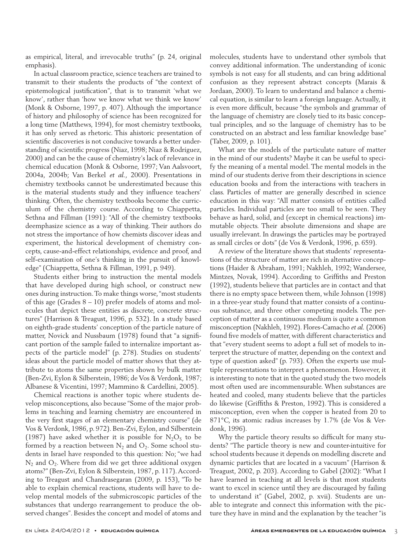as empirical, literal, and irrevocable truths" (p. 24, original emphasis).

In actual classroom practice, science teachers are trained to transmit to their students the products of "the context of epistemological justification", that is to transmit 'what we know', rather than 'how we know what we think we know' (Monk & Osborne, 1997, p. 407). Although the importance of history and philosophy of science has been recognized for a long time (Matthews, 1994), for most chemistry textbooks, it has only served as rhetoric. This ahistoric presentation of scientific discoveries is not conducive towards a better understanding of scientific progress (Niaz, 1998; Niaz & Rodríguez, 2000) and can be the cause of chemistry's lack of relevance in chemical education (Monk & Osborne, 1997; Van Aalsvoort, 2004a, 2004b; Van Berkel *et al.*, 2000). Presentations in chemistry textbooks cannot be underestimated because this is the material students study and they influence teachers' thinking. Often, the chemistry textbooks become the curriculum of the chemistry course. According to Chiappetta, Sethna and Fillman (1991): "All of the chemistry textbooks deemphasize science as a way of thinking. Their authors do not stress the importance of how chemists discover ideas and experiment, the historical development of chemistry concepts, cause-and-effect relationships, evidence and proof, and self-examination of one's thinking in the pursuit of knowledge" (Chiappetta, Sethna & Fillman, 1991, p. 949).

Students either bring to instruction the mental models that have developed during high school, or construct new ones during instruction. To make things worse, "most students of this age (Grades 8 – 10) prefer models of atoms and molecules that depict these entities as discrete, concrete structures" (Harrison & Treagust, 1996, p. 532). In a study based on eighth-grade students' conception of the particle nature of matter, Novick and Nussbaum (1978) found that "a significant portion of the sample failed to internalize important aspects of the particle model" (p. 278). Studies on students' ideas about the particle model of matter shows that they attribute to atoms the same properties shown by bulk matter (Ben-Zvi, Eylon & Silberstein, 1986; de Vos & Verdonk, 1987; Albanese & Vicentini, 1997; Mammino & Cardellini, 2005).

Chemical reactions is another topic where students develop misconceptions, also because "Some of the major problems in teaching and learning chemistry are encountered in the very first stages of an elementary chemistry course" (de Vos & Verdonk, 1986, p. 972). Ben-Zvi, Eylon, and Silberstein (1987) have asked whether it is possible for  $N_2O_5$  to be formed by a reaction between  $N_2$  and  $O_2$ . Some school students in Israel have responded to this question: No; "we had  $N_2$  and  $O_2$ . Where from did we get three additional oxygen atoms?" (Ben-Zvi, Eylon & Silberstein, 1987, p. 117). According to Treagust and Chandrasegaran (2009, p. 153), "To be able to explain chemical reactions, students will have to develop mental models of the submicroscopic particles of the substances that undergo rearrangement to produce the observed changes". Besides the concept and model of atoms and molecules, students have to understand other symbols that convey additional information. The understanding of iconic symbols is not easy for all students, and can bring additional confusion as they represent abstract concepts (Marais & Jordaan, 2000). To learn to understand and balance a chemical equation, is similar to learn a foreign language. Actually, it is even more difficult, because "the symbols and grammar of the language of chemistry are closely tied to its basic conceptual principles, and so the language of chemistry has to be constructed on an abstract and less familiar knowledge base" (Taber, 2009, p. 101).

What are the models of the particulate nature of matter in the mind of our students? Maybe it can be useful to specify the meaning of a mental model. The mental models in the mind of our students derive from their descriptions in science education books and from the interactions with teachers in class. Particles of matter are generally described in science education in this way: "All matter consists of entities called particles. Individual particles are too small to be seen. They behave as hard, solid, and (except in chemical reactions) immutable objects. Their absolute dimensions and shape are usually irrelevant. In drawings the particles may be portrayed as small circles or dots" (de Vos & Verdonk, 1996, p. 659).

A review of the literature shows that students' representations of the structure of matter are rich in alternative conceptions (Haider & Abraham, 1991; Nakhleh, 1992; Wandersee, Mintzes, Novak, 1994). According to Griffiths and Preston (1992), students believe that particles are in contact and that there is no empty space between them, while Johnson (1998) in a three-year study found that matter consists of a continuous substance, and three other competing models. The perception of matter as a continuous medium is quite a common misconception (Nakhleh, 1992). Flores-Camacho *et al.* (2006) found five models of matter, with different characteristics and that "every student seems to adopt a full set of models to interpret the structure of matter, depending on the context and type of question asked" (p. 793). Often the experts use multiple representations to interpret a phenomenon. However, it is interesting to note that in the quoted study the two models most often used are incommensurable. When substances are heated and cooled, many students believe that the particles do likewise (Griffiths & Preston, 1992). This is considered a misconception, even when the copper is heated from 20 to 871°C, its atomic radius increases by 1.7% (de Vos & Verdonk, 1996).

Why the particle theory results so difficult for many students? "The particle theory is new and counter-intuitive for school students because it depends on modelling discrete and dynamic particles that are located in a vacuum" (Harrison & Treagust, 2002, p. 203). According to Gabel (2002): "What I have learned in teaching at all levels is that most students want to excel in science until they are discouraged by failing to understand it" (Gabel, 2002, p. xvii). Students are unable to integrate and connect this information with the picture they have in mind and the explanation by the teacher "is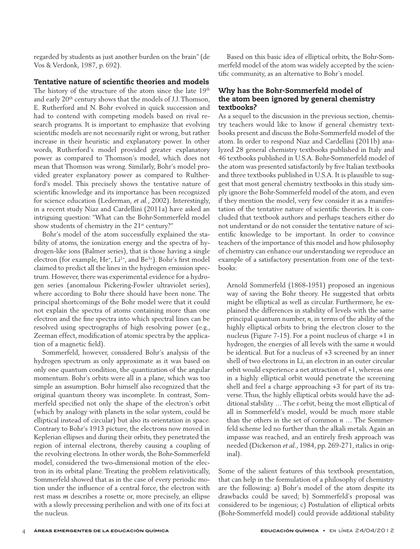regarded by students as just another burden on the brain" (de Vos & Verdonk, 1987, p. 692).

## Tentative nature of scientific theories and models

The history of the structure of the atom since the late 19<sup>th</sup> and early 20th century shows that the models of J.J. Thomson, E. Rutherford and N. Bohr evolved in quick succession and had to contend with competing models based on rival research programs. It is important to emphasize that evolving scientific models are not necessarily right or wrong, but rather increase in their heuristic and explanatory power. In other words, Rutherford's model provided greater explanatory power as compared to Thomson's model, which does not mean that Thomson was wrong. Similarly, Bohr's model provided greater explanatory power as compared to Rultherford's model. This precisely shows the tentative nature of scientific knowledge and its importance has been recognized for science education (Lederman, *et al.*, 2002). Interestingly, in a recent study Niaz and Cardellini (2011a) have asked an intriguing question: "What can the Bohr-Sommerfeld model show students of chemistry in the 21<sup>st</sup> century?"

Bohr's model of the atom successfully explained the stability of atoms, the ionization energy and the spectra of hydrogen-like ions (Balmer series), that is those having a single electron (for example, He<sup>+</sup>, Li<sup>2+</sup>, and Be<sup>3+</sup>). Bohr's first model claimed to predict all the lines in the hydrogen emission spectrum. However, there was experimental evidence for a hydrogen series (anomalous Pickering-Fowler ultraviolet series), where according to Bohr there should have been none. The principal shortcomings of the Bohr model were that it could not explain the spectra of atoms containing more than one electron and the fine spectra into which spectral lines can be resolved using spectrographs of high resolving power (e.g., Zeeman effect, modification of atomic spectra by the application of a magnetic field).

Sommerfeld, however, considered Bohr's analysis of the hydrogen spectrum as only approximate as it was based on only one quantum condition, the quantization of the angular momentum. Bohr's orbits were all in a plane, which was too simple an assumption. Bohr himself also recognized that the original quantum theory was incomplete. In contrast, Sommerfeld specified not only the shape of the electron's orbit (which by analogy with planets in the solar system, could be elliptical instead of circular) but also its orientation in space. Contrary to Bohr's 1913 picture, the electrons now moved in Keplerian ellipses and during their orbits, they penetrated the region of internal electrons, thereby causing a coupling of the revolving electrons. In other words, the Bohr-Sommerfeld model, considered the two-dimensional motion of the electron in its orbital plane. Treating the problem relativistically, Sommerfeld showed that as in the case of every periodic motion under the influence of a central force, the electron with rest mass *m* describes a rosette or, more precisely, an ellipse with a slowly precessing perihelion and with one of its foci at the nucleus.

Based on this basic idea of elliptical orbits, the Bohr-Sommerfeld model of the atom was widely accepted by the scientific community, as an alternative to Bohr's model.

## Why has the Bohr-Sommerfeld model of the atom been ignored by general chemistry textbooks?

As a sequel to the discussion in the previous section, chemistry teachers would like to know if general chemistry textbooks present and discuss the Bohr-Sommerfeld model of the atom. In order to respond Niaz and Cardellini (2011b) analyzed 28 general chemistry textbooks published in Italy and 46 textbooks published in U.S.A. Bohr-Sommerfeld model of the atom was presented satisfactorily by five Italian textbooks and three textbooks published in U.S.A. It is plausible to suggest that most general chemistry textbooks in this study simply ignore the Bohr-Sommerfeld model of the atom, and even if they mention the model, very few consider it as a manifestation of the tentative nature of scientific theories. It is concluded that textbook authors and perhaps teachers either do not understand or do not consider the tentative nature of scientific knowledge to be important. In order to convince teachers of the importance of this model and how philosophy of chemistry can enhance our understanding we reproduce an example of a satisfactory presentation from one of the textbooks:

Arnold Sommerfeld (1868-1951) proposed an ingenious way of saving the Bohr theory. He suggested that orbits might be elliptical as well as circular. Furthermore, he explained the differences in stability of levels with the same principal quantum number, *n*, in terms of the ability of the highly elliptical orbits to bring the electron closer to the nucleus (Figure 7-15). For a point nucleus of charge +1 in hydrogen, the energies of all levels with the same *n* would be identical. But for a nucleus of +3 screened by an inner shell of two electrons in Li, an electron in an outer circular orbit would experience a net attraction of +1, whereas one in a highly elliptical orbit would penetrate the screening shell and feel a charge approaching +3 for part of its traverse. Thus, the highly elliptical orbits would have the additional stability … The *s* orbit, being the most elliptical of all in Sommerfeld's model, would be much more stable than the others in the set of common *n* … The Sommerfeld scheme led no further than the alkali metals. Again an impasse was reached, and an entirely fresh approach was needed (Dickerson *et al.*, 1984, pp. 269-271, italics in original).

Some of the salient features of this textbook presentation, that can help in the formulation of a philosophy of chemistry are the following: a) Bohr's model of the atom despite its drawbacks could be saved; b) Sommerfeld's proposal was considered to be ingenious; c) Postulation of elliptical orbits (Bohr-Sommerfeld model) could provide additional stability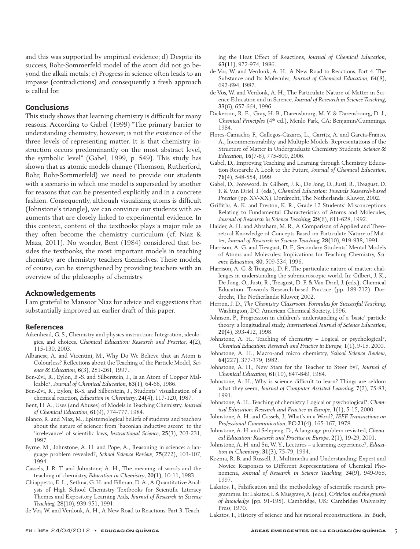and this was supported by empirical evidence; d) Despite its success, Bohr-Sommerfeld model of the atom did not go beyond the alkali metals; e) Progress in science often leads to an impasse (contradictions) and consequently a fresh approach is called for.

#### Conclusions

This study shows that learning chemistry is difficult for many reasons. According to Gabel (1999) "The primary barrier to understanding chemistry, however, is not the existence of the three levels of representing matter. It is that chemistry instruction occurs predominantly on the most abstract level, the symbolic level" (Gabel, 1999, p. 549). This study has shown that as atomic models change (Thomson, Rutherford, Bohr, Bohr-Sommerfeld) we need to provide our students with a scenario in which one model is superseded by another for reasons that can be presented explicitly and in a concrete fashion. Consequently, although visualizing atoms is difficult (Johnstone's triangle), we can convince our students with arguments that are closely linked to experimental evidence. In this context, content of the textbooks plays a major role as they often become the chemistry curriculum (cf. Niaz & Maza, 2011). No wonder, Bent (1984) considered that besides the textbooks, the most important models in teaching chemistry are chemistry teachers themselves. These models, of course, can be strengthened by providing teachers with an overview of the philosophy of chemistry.

#### Acknowledgements

I am grateful to Mansoor Niaz for advice and suggestions that substantially improved an earlier draft of this paper.

#### References

- Aikenhead, G. S., Chemistry and physics instruction: Integration, ideologies, and choices, *Chemical Education: Research and Practice*, **4**(2), 115-130, 2003.
- Albanese, A. and Vicentini, M., Why Do We Believe that an Atom is Colourless? Reflections about the Teaching of the Particle Model, *Science & Education*, **6**(3), 251-261, 1997.
- Ben-Zvi, R., Eylon, B.-S. and Silberstein, J., Is an Atom of Copper Malleable?, *Journal of Chemical Education*, **63**(1), 64-66, 1986.
- Ben-Zvi, R., Eylon, B.-S. and Silberstein, J., Students' visualization of a chemical reaction, *Education in Chemistry*, **24(**4), 117-120, 1987.
- Bent, H. A., Uses (and Abuses) of Models in Teaching Chemistry, *Journal of Chemical Education*, **61**(9), 774-777, 1984.
- Blanco, R. and Niaz, M., Epistemological beliefs of students and teachers about the nature of science: from 'baconian inductive ascent' to the 'irrelevance' of scientific laws, *Instructional Science*, **25**(3), 203-231, 1997.
- Byrne, M., Johnstone, A. H. and Pope, A., Reasoning in science: a language problem revealed?, *School Science Review*, **75**(272), 103-107, 1994.
- Cassels, J. R. T. and Johnstone, A. H., The meaning of words and the teaching of chemistry, *Education in Chemistry*, **20(**1), 10-11, 1983.
- Chiappetta, E. L., Sethna, G. H. and Fillman, D. A., A Quantitative Analysis of High School Chemistry Textbooks for Scientific Literacy Themes and Expository Learning Aids, *Journal of Research in Science Teaching*, **28**(10), 939-951, 1991.
- de Vos, W. and Verdonk, A. H., A New Road to Reactions. Part 3. Teach-

ing the Heat Effect of Reactions, *Journal of Chemical Education*, **63(**11), 972-974, 1986.

- de Vos, W. and Verdonk, A. H., A New Road to Reactions. Part 4. The Substance and Its Molecules, *Journal of Chemical Education*, **64(**8), 692-694, 1987.
- de Vos, W. and Verdonk, A. H., The Particulate Nature of Matter in Science Education and in Science, *Journal of Research in Science Teaching*, **33**(6), 657-664, 1996.
- Dickerson, R. E., Gray, H. B., Darensbourg, M. Y. & Darensbourg, D. J., *Chemical Principles* (4th ed.), Menlo Park, CA: Benjamin/Cummings, 1984.
- Flores-Camacho, F., Gallegos-Cázares, L., Garritz, A. and García-Franco, A., Incommensurability and Multiple Models: Representations of the Structure of Matter in Undergraduate Chemistry Students, *Science & Education*, **16**(7-8), 775-800, 2006.
- Gabel, D., Improving Teaching and Learning through Chemistry Education Research: A Look to the Future, *Journal of Chemical Education*, **76**(4), 548-554, 1999.
- Gabel, D., Foreword. In: Gilbert, J. K., De Jong, O., Justi, R., Treagust, D. F. & Van Driel, J. (eds.), *Chemical Education: Towards Research-based Practice* (pp. XV-XX). Dordrecht, The Netherlands: Kluwer, 2002.
- Griffiths, A. K. and Preston, K. R., Grade 12 Students' Misconceptions Relating to Fundamental Characteristics of Atoms and Molecules, *Journal of Research in Science Teaching*, **29(**6), 611-628, 1992.
- Haider, A. H. and Abraham, M. R., A Comparison of Applied and Theoretical Knowledge of Concepts Based on Particulate Nature of Matter, *Journal of Research in Science Teaching*, **28(**10), 919-938, 1991.
- Harrison, A. G. and Treagust, D. F., Secondary Students' Mental Models of Atoms and Molecules: Implications for Teaching Chemistry, *Science Education*, **80**, 509-534, 1996.
- Harrison, A. G. & Treagust, D. F., The particulate nature of matter: challenges in understanding the submicroscopic world. In: Gilbert, J. K., De Jong, O., Justi, R., Treagust, D. F. & Van Driel, J. (eds.), Chemical Education: Towards Research-based Practice (pp. 189-212). Dordrecht, The Netherlands: Kluwer, 2002.
- Herron, J. D., *The Chemistry Classroom. Formulas for Successful Teaching*. Washington, DC: American Chemical Society, 1996.
- Johnson, P., Progression in children's understanding of a 'basic' particle theory: a longitudinal study, *International Journal of Science Education*, **20**(4), 393-412, 1998.
- Johnstone, A. H., Teaching of chemistry Logical or psychological?, *Chemical Education: Research and Practice in Europe*, **1**(1), 9-15, 2000.
- Johnstone, A. H., Macro-and micro chemistry, *School Science Review*, **64**(227), 377-379, 1982.
- Johnstone, A. H., New Stars for the Teacher to Steer by?, *Journal of Chemical Education*, **61**(10), 847-849, 1984.
- Johnstone, A. H., Why is science difficult to learn? Things are seldom what they seem, *Journal of Computer Assisted Learning*, **7**(2), 75-83, 1991.
- Johnstone, A. H., Teaching of chemistry. Logical or psychological?, *Chemical Education: Research and Practice in Europe*, **1**(1), 5-15, 2000.
- Johnstone, A. H. and Cassels, J., What's in a Word?, *IEEE Transactions on Professional Communication*, **PC-21**(4), 165-167, 1978.
- Johnstone, A. H. and Selepeng, D., A language problem revisited, *Chemical Education: Research and Practice in Europe*, **2**(1), 19-29, 2001.
- Johnstone, A. H. and Su, W. Y., Lectures a learning experience?, *Education in Chemistry*, **31**(3), 75-79, 1994.
- Kozma, R. B. and Russell, J., Multimedia and Understanding: Expert and Novice Responses to Different Representations of Chemical Phenomena, *Journal of Research in Science Teaching*, **34**(9), 949-968, 1997.
- Lakatos, I., Falsification and the methodology of scientific research programmes. In: Lakatos, I. & Musgrave, A. (eds.), *Criticism and the growth of knowledge* (pp. 91-195). Cambridge, UK: Cambridge University Press, 1970.
- Lakatos, I., History of science and his rational reconstructions. In: Buck,